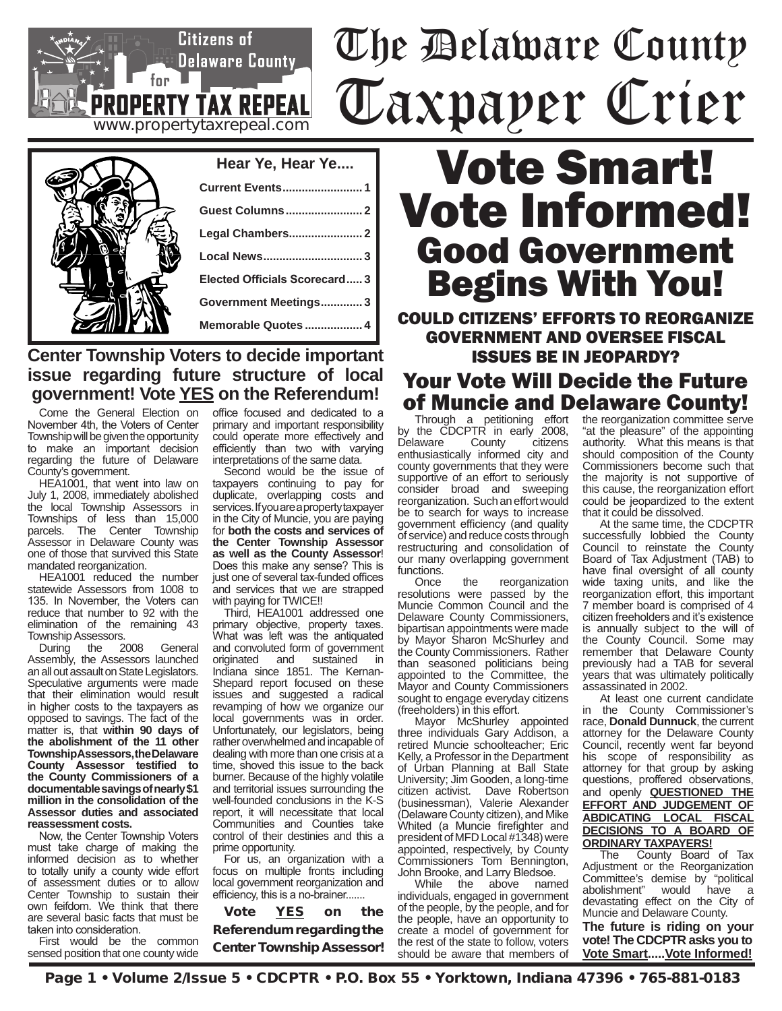# The Delaware County Taxpayer Crier

| Hear Ye, Hear Ye              |
|-------------------------------|
|                               |
| <b>Guest Columns 2</b>        |
| <b>Legal Chambers 2</b>       |
|                               |
| Elected Officials Scorecard 3 |
| Government Meetings3          |
| Memorable Quotes  4           |

**www.propertytaxrepeal.com**

**PROPERTY TAX REPEAL** 

 $for$ ]

Citizens of

 $\gtrsim$ Delaware County $\gtrsim$ 

#### **Center Township Voters to decide important issue regarding future structure of local government! Vote YES on the Referendum!**

Come the General Election on November 4th, the Voters of Center Township will be given the opportunity to make an important decision regarding the future of Delaware County's government.

HEA1001, that went into law on July 1, 2008, immediately abolished the local Township Assessors in Townships of less than 15,000 parcels. The Center Township Assessor in Delaware County was one of those that survived this State mandated reorganization.

HEA1001 reduced the number statewide Assessors from 1008 to 135. In November, the Voters can reduce that number to 92 with the elimination of the remaining 43

Township Assessors.<br>During the 2 the 2008 General Assembly, the Assessors launched an all out assault on State Legislators. Speculative arguments were made that their elimination would result in higher costs to the taxpayers as opposed to savings. The fact of the matter is, that **within 90 days of the abolishment of the 11 other Township Assessors, the Delaware County Assessor testified to the County Commissioners of a documentable savings of nearly \$1 million in the consolidation of the Assessor duties and associated reassessment costs.**

Now, the Center Township Voters must take charge of making the informed decision as to whether to totally unify a county wide effort of assessment duties or to allow Center Township to sustain their own feifdom. We think that there are several basic facts that must be taken into consideration.

First would be the common sensed position that one county wide office focused and dedicated to a primary and important responsibility could operate more effectively and efficiently than two with varying interpretations of the same data.

Second would be the issue of taxpayers continuing to pay for duplicate, overlapping costs and services. If you are a property taxpayer in the City of Muncie, you are paying for **both the costs and services of the Center Township Assessor as well as the County Assessor**! Does this make any sense? This is just one of several tax-funded offices and services that we are strapped with paying for TWICE!!

Third, HEA1001 addressed one primary objective, property taxes. What was left was the antiquated and convoluted form of government originated and sustained Indiana since 1851. The Kernan-Shepard report focused on these issues and suggested a radical revamping of how we organize our local governments was in order. Unfortunately, our legislators, being rather overwhelmed and incapable of dealing with more than one crisis at a time, shoved this issue to the back burner. Because of the highly volatile and territorial issues surrounding the well-founded conclusions in the K-S report, it will necessitate that local Communities and Counties take control of their destinies and this a prime opportunity.

For us, an organization with a focus on multiple fronts including local government reorganization and efficiency, this is a no-brainer.......

Vote YES on the Referendum regarding the Center Township Assessor!

## Vote Smart! Vote Informed! Good Government Begins With You!

Could citizens' efforts to REORGANIZE GOVERNMENT and oversee fiscal issues be in jeopardy? Your Vote Will Decide the Future

Through a petitioning effort by the CDCPTR in early 2008, Delaware County citizens enthusiastically informed city and county governments that they were supportive of an effort to seriously consider broad and sweeping reorganization. Such an effort would be to search for ways to increase government efficiency (and quality of service) and reduce costs through restructuring and consolidation of our many overlapping government of Muncie and Delaware County!

functions.<br>Once the reorganization resolutions were passed by the Muncie Common Council and the Delaware County Commissioners, bipartisan appointments were made by Mayor Sharon McShurley and the County Commissioners. Rather than seasoned politicians being appointed to the Committee, the Mayor and County Commissioners sought to engage everyday citizens (freeholders) in this effort.

Mayor McShurley appointed three individuals Gary Addison, a retired Muncie schoolteacher; Eric Kelly, a Professor in the Department of Urban Planning at Ball State University; Jim Gooden, a long-time citizen activist. Dave Robertson (businessman), Valerie Alexander (Delaware County citizen), and Mike Whited (a Muncie firefighter and president of MFD Local #1348) were appointed, respectively, by County Commissioners Tom Bennington, John Brooke, and Larry Bledsoe.

While the above named individuals, engaged in government of the people, by the people, and for the people, have an opportunity to create a model of government for the rest of the state to follow, voters should be aware that members of

the reorganization committee serve "at the pleasure" of the appointing authority. What this means is that should composition of the County Commissioners become such that the majority is not supportive of this cause, the reorganization effort could be jeopardized to the extent that it could be dissolved.

At the same time, the CDCPTR successfully lobbied the County Council to reinstate the County Board of Tax Adjustment (TAB) to have final oversight of all county wide taxing units, and like the reorganization effort, this important 7 member board is comprised of 4 citizen freeholders and it's existence is annually subject to the will of the County Council. Some may remember that Delaware County previously had a TAB for several years that was ultimately politically assassinated in 2002.

At least one current candidate in the County Commissioner's race, **Donald Dunnuck**, the current attorney for the Delaware County Council, recently went far beyond his scope of responsibility as attorney for that group by asking questions, proffered observations, and openly **QUESTIONED THE EFFORT AND JUDGEMENT OF ABDICATING LOCAL FISCAL DECISIONS TO A BOARD OF ORDINARY TAXPAYERS!**

The County Board of Tax Adjustment or the Reorganization Committee's demise by "political<br>abolishment" would have a abolishment" would have a devastating effect on the City of Muncie and Delaware County.

**The future is riding on your vote! The CDCPTR asks you to Vote Smart.....Vote Informed!**

Page 1 • Volume 2/Issue 5 • CDCPTR • P.O. Box 55 • Yorktown, Indiana 47396 • 765-881-0183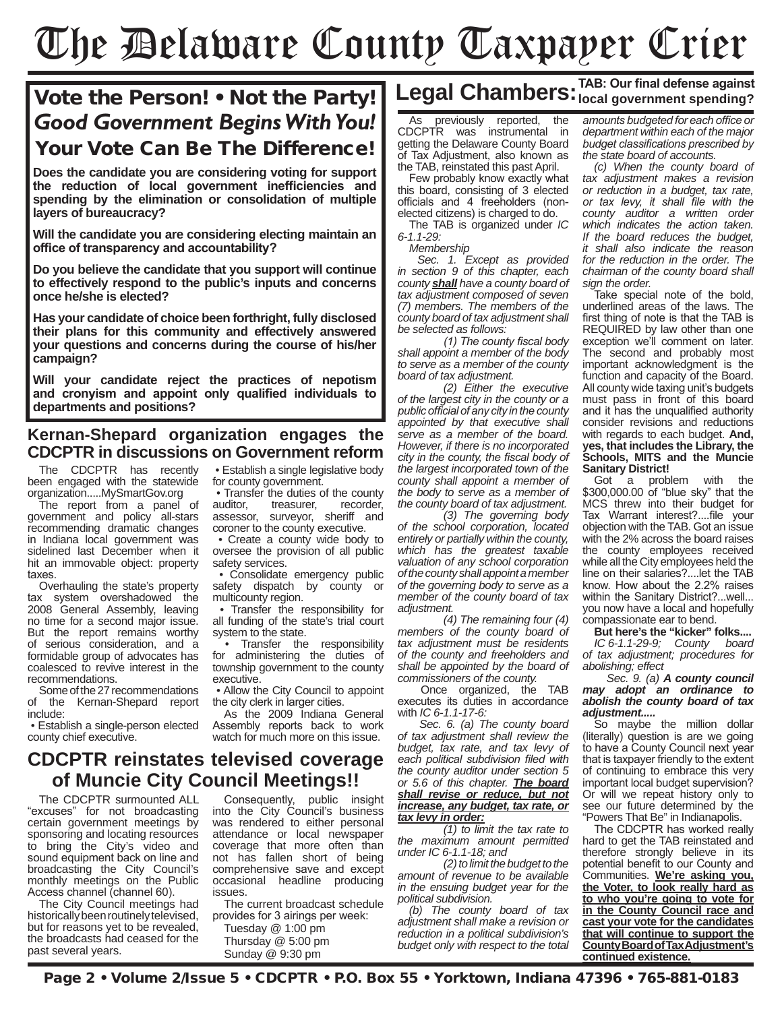# The Delaware County Taxpayer Crier

### Vote the Person! • Not the Party! *Good Government Begins With You!* Your Vote Can Be The Difference!

**Does the candidate you are considering voting for support the reduction of local government inefficiencies and spending by the elimination or consolidation of multiple layers of bureaucracy?**

**Will the candidate you are considering electing maintain an office of transparency and accountability?**

**Do you believe the candidate that you support will continue to effectively respond to the public's inputs and concerns once he/she is elected?**

**Has your candidate of choice been forthright, fully disclosed their plans for this community and effectively answered your questions and concerns during the course of his/her campaign?**

**Will your candidate reject the practices of nepotism and cronyism and appoint only qualified individuals to departments and positions?**

#### **Kernan-Shepard organization engages the CDCPTR in discussions on Government reform**

The CDCPTR has recently been engaged with the statewide organization.....MySmartGov.org

The report from a panel of government and policy all-stars recommending dramatic changes in Indiana local government was sidelined last December when it hit an immovable object: property taxes.

Overhauling the state's property tax system overshadowed the 2008 General Assembly, leaving no time for a second major issue. But the report remains worthy of serious consideration, and a formidable group of advocates has coalesced to revive interest in the recommendations.

Some of the 27 recommendations of the Kernan-Shepard report include:

 • Establish a single-person elected county chief executive.

 • Establish a single legislative body for county government.

• Transfer the duties of the county<br>auditor, treasurer, recorder, treasurer, assessor, surveyor, sheriff and coroner to the county executive.

 • Create a county wide body to oversee the provision of all public safety services.

 • Consolidate emergency public safety dispatch by county or multicounty region.

 • Transfer the responsibility for all funding of the state's trial court system to the state.

 • Transfer the responsibility for administering the duties of township government to the county executive.

 • Allow the City Council to appoint the city clerk in larger cities.

As the 2009 Indiana General Assembly reports back to work watch for much more on this issue.

#### **CDCPTR reinstates televised coverage of Muncie City Council Meetings!!**

The CDCPTR surmounted ALL "excuses" for not broadcasting certain government meetings by sponsoring and locating resources to bring the City's video and sound equipment back on line and broadcasting the City Council's monthly meetings on the Public Access channel (channel 60).

The City Council meetings had historically been routinely televised, but for reasons yet to be revealed, the broadcasts had ceased for the past several years.

Consequently, public insight into the City Council's business was rendered to either personal attendance or local newspaper coverage that more often than not has fallen short of being comprehensive save and except occasional headline producing issues.

The current broadcast schedule provides for 3 airings per week:

Tuesday @ 1:00 pm Thursday @ 5:00 pm Sunday @ 9:30 pm

## Legal Chambers: TAB: Our final defense against **Legal Chambers:** local government spending?

As previously reported, the CDCPTR was instrumental in getting the Delaware County Board of Tax Adjustment, also known as the TAB, reinstated this past April.

Few probably know exactly what this board, consisting of 3 elected officials and 4 freeholders (nonelected citizens) is charged to do.

The TAB is organized under *IC 6-1.1-29:*

*Membership*

 *Sec. 1. Except as provided in section 9 of this chapter, each county shall have a county board of tax adjustment composed of seven (7) members. The members of the county board of tax adjustment shall be selected as follows:*

 *(1) The county fiscal body shall appoint a member of the body to serve as a member of the county board of tax adjustment.*

*(2) Either the executive of the largest city in the county or a public official of any city in the county appointed by that executive shall serve as a member of the board. However, if there is no incorporated city in the county, the fiscal body of the largest incorporated town of the county shall appoint a member of the body to serve as a member of the county board of tax adjustment.*

*(3) The governing body of the school corporation, located entirely or partially within the county, which has the greatest taxable valuation of any school corporation of the county shall appoint a member of the governing body to serve as a member of the county board of tax adjustment.*

*(4) The remaining four (4) members of the county board of tax adjustment must be residents of the county and freeholders and shall be appointed by the board of commissioners of the county.*

 Once organized, the TAB executes its duties in accordance with *IC 6-1.1-17-6:*

 *Sec. 6. (a) The county board of tax adjustment shall review the budget, tax rate, and tax levy of each political subdivision filed with the county auditor under section 5 or 5.6 of this chapter. The board shall revise or reduce, but not increase, any budget, tax rate, or tax levy in order:*

*(1) to limit the tax rate to the maximum amount permitted under IC 6-1.1-18; and*

*(2) to limit the budget to the amount of revenue to be available in the ensuing budget year for the political subdivision.*

*(b) The county board of tax adjustment shall make a revision or reduction in a political subdivision's budget only with respect to the total*  *amounts budgeted for each office or department within each of the major budget classifications prescribed by the state board of accounts.*

*(c) When the county board of tax adjustment makes a revision or reduction in a budget, tax rate, or tax levy, it shall file with the county auditor a written order which indicates the action taken. If the board reduces the budget, it shall also indicate the reason for the reduction in the order. The chairman of the county board shall sign the order.*

Take special note of the bold, underlined areas of the laws. The first thing of note is that the TAB is REQUIRED by law other than one exception we'll comment on later. The second and probably most important acknowledgment is the function and capacity of the Board. All county wide taxing unit's budgets must pass in front of this board and it has the unqualified authority consider revisions and reductions with regards to each budget. **And, yes, that includes the Library, the Schools, MITS and the Muncie Sanitary District!**

Got a problem with the \$300,000.00 of "blue sky" that the MCS threw into their budget for Tax Warrant interest?....file your objection with the TAB. Got an issue with the 2% across the board raises the county employees received while all the City employees held the line on their salaries?....let the TAB know. How about the 2.2% raises within the Sanitary District?...well... you now have a local and hopefully compassionate ear to bend.

**But here's the "kicker" folks....**

*IC 6-1.1-29-9; County board of tax adjustment; procedures for abolishing; effect*

 *Sec. 9. (a) A county council may adopt an ordinance to abolish the county board of tax adjustment.....*

So maybe the million dollar (literally) question is are we going to have a County Council next year that is taxpayer friendly to the extent of continuing to embrace this very important local budget supervision? Or will we repeat history only to see our future determined by the "Powers That Be" in Indianapolis.

The CDCPTR has worked really hard to get the TAB reinstated and therefore strongly believe in its potential benefit to our County and Communities. **We're asking you, the Voter, to look really hard as to who you're going to vote for in the County Council race and cast your vote for the candidates that will continue to support the County Board of Tax Adjustment's continued existence.**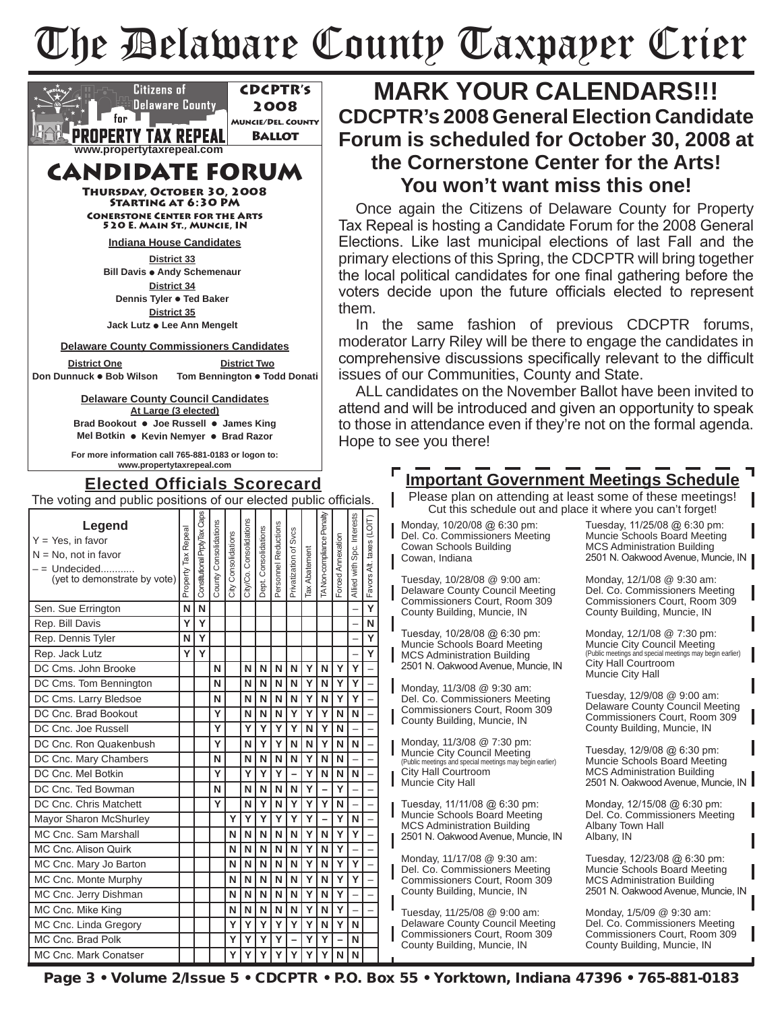# The Delaware County Taxpayer Crier



## **MARK YOUR CALENDARS!!! CDCPTR's 2008 General Election Candidate Forum is scheduled for October 30, 2008 at the Cornerstone Center for the Arts! You won't want miss this one!**

Once again the Citizens of Delaware County for Property Tax Repeal is hosting a Candidate Forum for the 2008 General Elections. Like last municipal elections of last Fall and the primary elections of this Spring, the CDCPTR will bring together the local political candidates for one final gathering before the voters decide upon the future officials elected to represent them.

In the same fashion of previous CDCPTR forums, moderator Larry Riley will be there to engage the candidates in comprehensive discussions specifically relevant to the difficult issues of our Communities, County and State.

ALL candidates on the November Ballot have been invited to attend and will be introduced and given an opportunity to speak to those in attendance even if they're not on the formal agenda. Hope to see you there!

### **Important Government Meetings Schedule**

Please plan on attending at least some of these meetings! Cut this schedule out and place it where you can't forget!

Monday, 10/20/08 @ 6:30 pm: Del. Co. Commissioners Meeting Cowan Schools Building Cowan, Indiana

Tuesday, 10/28/08 @ 9:00 am: Delaware County Council Meeting Commissioners Court, Room 309 County Building, Muncie, IN

Tuesday, 10/28/08 @ 6:30 pm: Muncie Schools Board Meeting MCS Administration Building 2501 N. Oakwood Avenue, Muncie, IN

Monday, 11/3/08 @ 9:30 am: Del. Co. Commissioners Meeting Commissioners Court, Room 309 County Building, Muncie, IN

Monday, 11/3/08 @ 7:30 pm: Muncie City Council Meeting (Public meetings and special meetings may begin earlier) City Hall Courtroom Muncie City Hall

Tuesday, 11/11/08 @ 6:30 pm: Muncie Schools Board Meeting MCS Administration Building 2501 N. Oakwood Avenue, Muncie, IN

Monday, 11/17/08 @ 9:30 am: Del. Co. Commissioners Meeting Commissioners Court, Room 309 County Building, Muncie, IN

Tuesday, 11/25/08 @ 9:00 am: Delaware County Council Meeting Commissioners Court, Room 309 County Building, Muncie, IN

Tuesday, 11/25/08 @ 6:30 pm: Muncie Schools Board Meeting MCS Administration Building 2501 N. Oakwood Avenue, Muncie, IN

Monday, 12/1/08 @ 9:30 am: Del. Co. Commissioners Meeting Commissioners Court, Room 309 County Building, Muncie, IN

Monday, 12/1/08 @ 7:30 pm: Muncie City Council Meeting (Public meetings and special meetings may begin earlier) City Hall Courtroom Muncie City Hall

Tuesday, 12/9/08 @ 9:00 am: Delaware County Council Meeting Commissioners Court, Room 309 County Building, Muncie, IN

Tuesday, 12/9/08 @ 6:30 pm: Muncie Schools Board Meeting MCS Administration Building 2501 N. Oakwood Avenue, Muncie, IN

Monday, 12/15/08 @ 6:30 pm: Del. Co. Commissioners Meeting Albany Town Hall Albany, IN

Tuesday, 12/23/08 @ 6:30 pm: Muncie Schools Board Meeting MCS Administration Building 2501 N. Oakwood Avenue, Muncie, IN

Monday, 1/5/09 @ 9:30 am: Del. Co. Commissioners Meeting Commissioners Court, Room 309 County Building, Muncie, IN